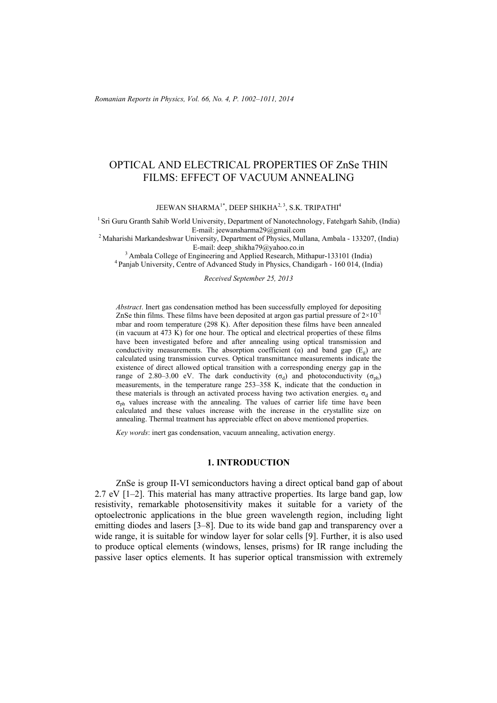# OPTICAL AND ELECTRICAL PROPERTIES OF ZnSe THIN FILMS: EFFECT OF VACUUM ANNEALING

JEEWAN SHARMA<sup>1\*</sup>, DEEP SHIKHA<sup>2, 3</sup>, S.K. TRIPATHI<sup>4</sup>

<sup>1</sup> Sri Guru Granth Sahib World University, Department of Nanotechnology, Fatehgarh Sahib, (India) E-mail: jeewansharma29@gmail.com 2 Maharishi Markandeshwar University, Department of Physics, Mullana, Ambala - 133207, (India)

E-mail: deep\_shikha79@yahoo.co.in 3 Ambala College of Engineering and Applied Research, Mithapur-133101 (India) 4 Panjab University, Centre of Advanced Study in Physics, Chandigarh - 160 014, (India)

*Received September 25, 2013*

*Abstract*. Inert gas condensation method has been successfully employed for depositing ZnSe thin films. These films have been deposited at argon gas partial pressure of  $2\times10^{-1}$ mbar and room temperature (298 K). After deposition these films have been annealed (in vacuum at  $473 \overrightarrow{K}$ ) for one hour. The optical and electrical properties of these films have been investigated before and after annealing using optical transmission and conductivity measurements. The absorption coefficient  $(\alpha)$  and band gap  $(E_{\alpha})$  are calculated using transmission curves. Optical transmittance measurements indicate the existence of direct allowed optical transition with a corresponding energy gap in the range of 2.80–3.00 eV. The dark conductivity ( $\sigma_d$ ) and photoconductivity ( $\sigma_{ph}$ ) measurements, in the temperature range 253–358 K, indicate that the conduction in these materials is through an activated process having two activation energies.  $\sigma_d$  and  $\sigma_{\rm ph}$  values increase with the annealing. The values of carrier life time have been calculated and these values increase with the increase in the crystallite size on annealing. Thermal treatment has appreciable effect on above mentioned properties.

*Key words*: inert gas condensation, vacuum annealing, activation energy.

### **1. INTRODUCTION**

ZnSe is group II-VI semiconductors having a direct optical band gap of about 2.7 eV [1–2]. This material has many attractive properties. Its large band gap, low resistivity, remarkable photosensitivity makes it suitable for a variety of the optoelectronic applications in the blue green wavelength region, including light emitting diodes and lasers [3–8]. Due to its wide band gap and transparency over a wide range, it is suitable for window layer for solar cells [9]. Further, it is also used to produce optical elements (windows, lenses, prisms) for IR range including the passive laser optics elements. It has superior optical transmission with extremely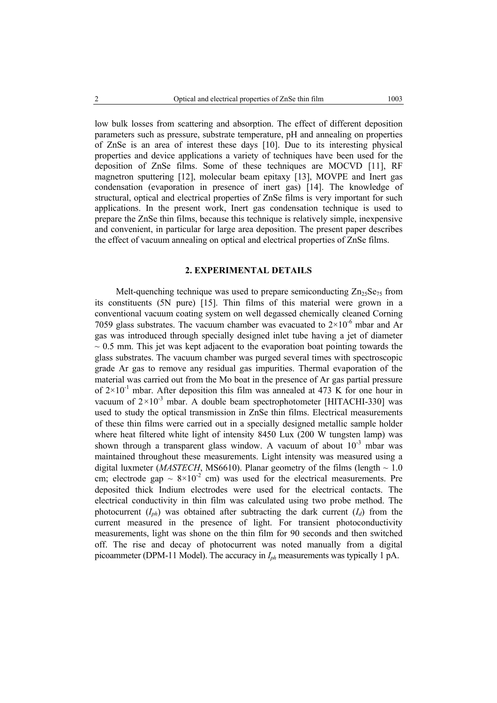low bulk losses from scattering and absorption. The effect of different deposition parameters such as pressure, substrate temperature, pH and annealing on properties of ZnSe is an area of interest these days [10]. Due to its interesting physical properties and device applications a variety of techniques have been used for the deposition of ZnSe films. Some of these techniques are MOCVD [11], RF magnetron sputtering [12], molecular beam epitaxy [13], MOVPE and Inert gas condensation (evaporation in presence of inert gas) [14]. The knowledge of structural, optical and electrical properties of ZnSe films is very important for such applications. In the present work, Inert gas condensation technique is used to prepare the ZnSe thin films, because this technique is relatively simple, inexpensive and convenient, in particular for large area deposition. The present paper describes the effect of vacuum annealing on optical and electrical properties of ZnSe films.

## **2. EXPERIMENTAL DETAILS**

Melt-quenching technique was used to prepare semiconducting  $Zn_{25}Se_{75}$  from its constituents (5N pure) [15]. Thin films of this material were grown in a conventional vacuum coating system on well degassed chemically cleaned Corning 7059 glass substrates. The vacuum chamber was evacuated to  $2\times10^{-6}$  mbar and Ar gas was introduced through specially designed inlet tube having a jet of diameter  $\sim$  0.5 mm. This jet was kept adjacent to the evaporation boat pointing towards the glass substrates. The vacuum chamber was purged several times with spectroscopic grade Ar gas to remove any residual gas impurities. Thermal evaporation of the material was carried out from the Mo boat in the presence of Ar gas partial pressure of  $2\times10^{-1}$  mbar. After deposition this film was annealed at 473 K for one hour in vacuum of  $2 \times 10^{-3}$  mbar. A double beam spectrophotometer [HITACHI-330] was used to study the optical transmission in ZnSe thin films. Electrical measurements of these thin films were carried out in a specially designed metallic sample holder where heat filtered white light of intensity 8450 Lux (200 W tungsten lamp) was shown through a transparent glass window. A vacuum of about 10<sup>-3</sup> mbar was maintained throughout these measurements. Light intensity was measured using a digital luxmeter (*MASTECH*, MS6610). Planar geometry of the films (length  $\sim 1.0$ ) cm; electrode gap  $\sim 8 \times 10^{-2}$  cm) was used for the electrical measurements. Pre deposited thick Indium electrodes were used for the electrical contacts. The electrical conductivity in thin film was calculated using two probe method. The photocurrent  $(I_{ph})$  was obtained after subtracting the dark current  $(I_d)$  from the current measured in the presence of light. For transient photoconductivity measurements, light was shone on the thin film for 90 seconds and then switched off. The rise and decay of photocurrent was noted manually from a digital picoammeter (DPM-11 Model). The accuracy in *Iph* measurements was typically 1 pA.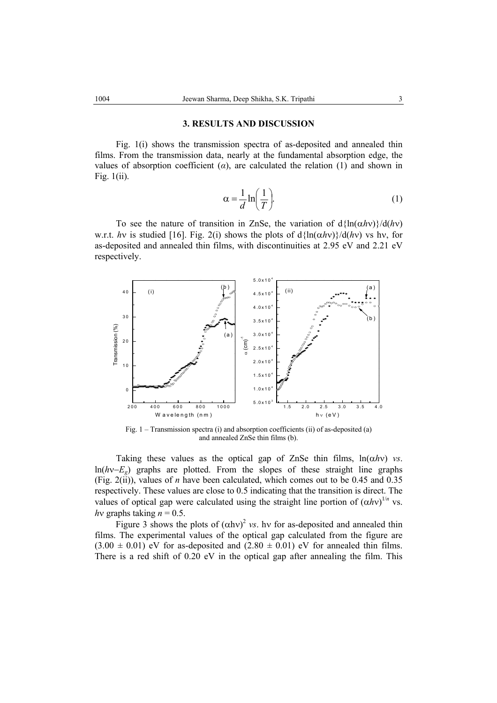#### **3. RESULTS AND DISCUSSION**

Fig. 1(i) shows the transmission spectra of as-deposited and annealed thin films. From the transmission data, nearly at the fundamental absorption edge, the values of absorption coefficient  $(a)$ , are calculated the relation  $(1)$  and shown in Fig. 1(ii).

$$
\alpha = \frac{1}{d} \ln \left( \frac{1}{T} \right). \tag{1}
$$

To see the nature of transition in ZnSe, the variation of  $d\{\ln(\alpha h\nu)\}/d(h\nu)$ w.r.t. *hv* is studied [16]. Fig. 2(i) shows the plots of  $d\{\ln(\alpha h\nu)\}/d(h\nu)$  vs hv, for as-deposited and annealed thin films, with discontinuities at 2.95 eV and 2.21 eV respectively.



Fig. 1 – Transmission spectra (i) and absorption coefficients (ii) of as-deposited (a) and annealed ZnSe thin films (b).

Taking these values as the optical gap of ZnSe thin films,  $ln(\alpha h v)$  *vs.* ln(*h*ν−*Eg*) graphs are plotted. From the slopes of these straight line graphs (Fig. 2(ii)), values of *n* have been calculated, which comes out to be 0.45 and 0.35 respectively. These values are close to 0.5 indicating that the transition is direct. The values of optical gap were calculated using the straight line portion of  $(\alpha h v)^{1/n}$  vs. *hv* graphs taking  $n = 0.5$ .

Figure 3 shows the plots of  $(\alpha h v)^2$  *vs.* hv for as-deposited and annealed thin films. The experimental values of the optical gap calculated from the figure are  $(3.00 \pm 0.01)$  eV for as-deposited and  $(2.80 \pm 0.01)$  eV for annealed thin films. There is a red shift of 0.20 eV in the optical gap after annealing the film. This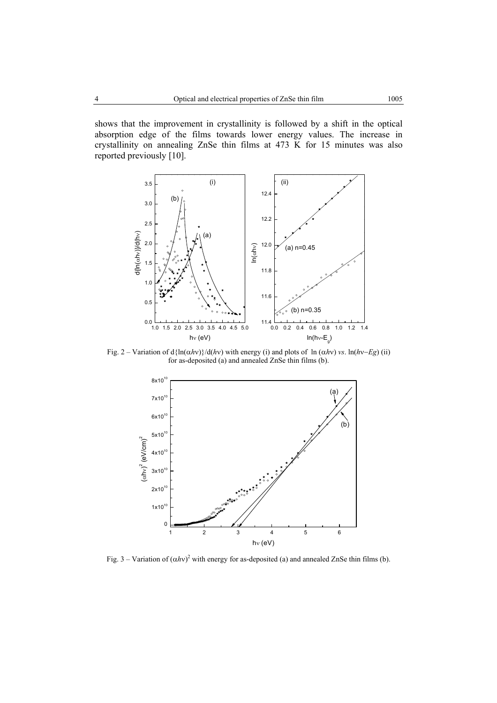shows that the improvement in crystallinity is followed by a shift in the optical absorption edge of the films towards lower energy values. The increase in crystallinity on annealing ZnSe thin films at 473 K for 15 minutes was also reported previously [10].



Fig. 2 – Variation of d{ln(α*h*ν)}/d(*h*ν) with energy (i) and plots of ln (α*h*ν) *vs*. ln(*h*ν−*Eg*) (ii) for as-deposited (a) and annealed ZnSe thin films (b).



Fig. 3 – Variation of  $(\alpha h v)^2$  with energy for as-deposited (a) and annealed ZnSe thin films (b).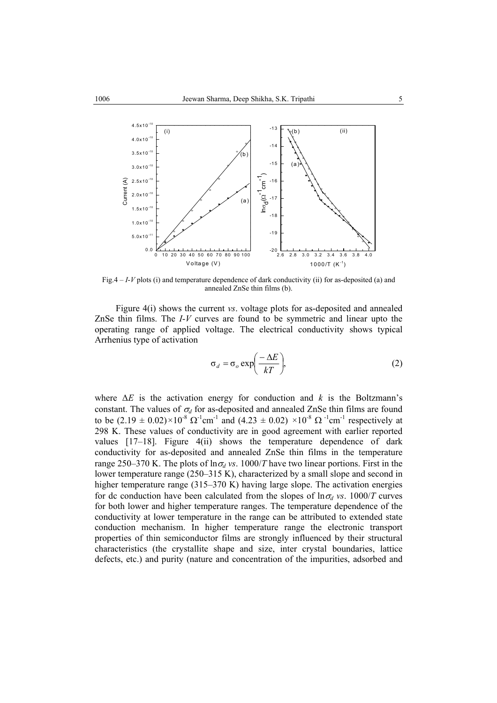

Fig.4 – *I*-*V* plots (i) and temperature dependence of dark conductivity (ii) for as-deposited (a) and annealed ZnSe thin films (b).

Figure 4(i) shows the current *vs*. voltage plots for as-deposited and annealed ZnSe thin films. The *I*-*V* curves are found to be symmetric and linear upto the operating range of applied voltage. The electrical conductivity shows typical Arrhenius type of activation

$$
\sigma_d = \sigma_o \exp\left(\frac{-\Delta E}{kT}\right),\tag{2}
$$

where ∆*E* is the activation energy for conduction and *k* is the Boltzmann's constant. The values of  $\sigma_d$  for as-deposited and annealed ZnSe thin films are found to be  $(2.19 \pm 0.02) \times 10^{-8} \Omega^{-1}$  cm<sup>-1</sup> and  $(4.23 \pm 0.02) \times 10^{-8} \Omega^{-1}$ cm<sup>-1</sup> respectively at 298 K. These values of conductivity are in good agreement with earlier reported values [17-18]. Figure 4(ii) shows the temperature dependence of dark conductivity for as-deposited and annealed ZnSe thin films in the temperature range 250–370 K. The plots of  $\ln \sigma_d$  vs. 1000/*T* have two linear portions. First in the lower temperature range (250–315 K), characterized by a small slope and second in higher temperature range (315–370 K) having large slope. The activation energies for dc conduction have been calculated from the slopes of  $\ln \sigma_d$  *vs.* 1000/*T* curves for both lower and higher temperature ranges. The temperature dependence of the conductivity at lower temperature in the range can be attributed to extended state conduction mechanism. In higher temperature range the electronic transport properties of thin semiconductor films are strongly influenced by their structural characteristics (the crystallite shape and size, inter crystal boundaries, lattice defects, etc.) and purity (nature and concentration of the impurities, adsorbed and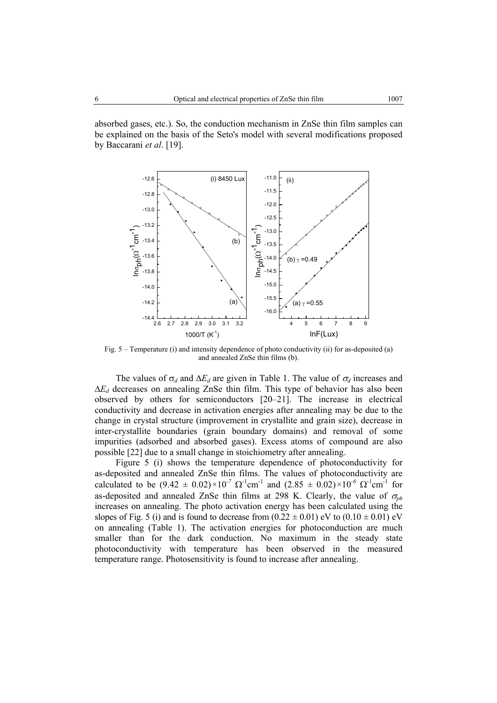absorbed gases, etc.). So, the conduction mechanism in ZnSe thin film samples can be explained on the basis of the Seto's model with several modifications proposed by Baccarani *et al*. [19].



Fig. 5 – Temperature (i) and intensity dependence of photo conductivity (ii) for as-deposited (a) and annealed ZnSe thin films (b).

The values of  $\sigma_d$  and  $\Delta E_d$  are given in Table 1. The value of  $\sigma_d$  increases and ∆*Ed* decreases on annealing ZnSe thin film. This type of behavior has also been observed by others for semiconductors [20–21]. The increase in electrical conductivity and decrease in activation energies after annealing may be due to the change in crystal structure (improvement in crystallite and grain size), decrease in inter-crystallite boundaries (grain boundary domains) and removal of some impurities (adsorbed and absorbed gases). Excess atoms of compound are also possible [22] due to a small change in stoichiometry after annealing.

Figure 5 (i) shows the temperature dependence of photoconductivity for as-deposited and annealed ZnSe thin films. The values of photoconductivity are calculated to be  $(9.42 \pm 0.02) \times 10^{-7} \Omega^{-1}$ cm<sup>-1</sup> and  $(2.85 \pm 0.02) \times 10^{-6} \Omega^{-1}$ cm<sup>-1</sup> for as-deposited and annealed ZnSe thin films at 298 K. Clearly, the value of  $\sigma_{nh}$ increases on annealing. The photo activation energy has been calculated using the slopes of Fig. 5 (i) and is found to decrease from  $(0.22 \pm 0.01)$  eV to  $(0.10 \pm 0.01)$  eV on annealing (Table 1). The activation energies for photoconduction are much smaller than for the dark conduction. No maximum in the steady state photoconductivity with temperature has been observed in the measured temperature range. Photosensitivity is found to increase after annealing.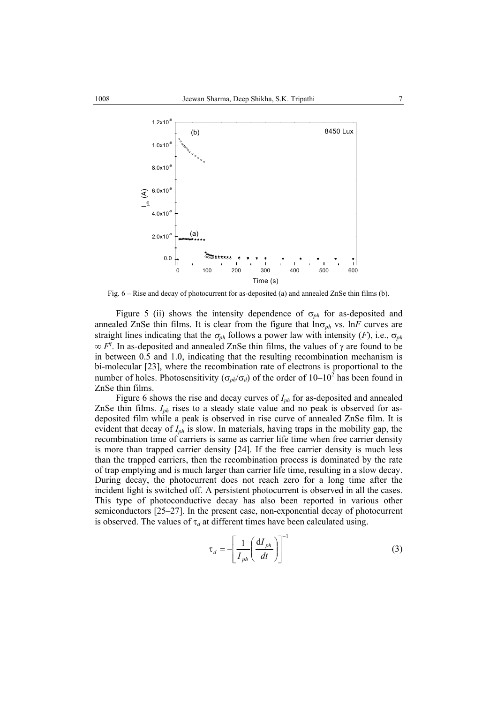

Fig. 6 – Rise and decay of photocurrent for as-deposited (a) and annealed ZnSe thin films (b).

Figure 5 (ii) shows the intensity dependence of  $\sigma_{ph}$  for as-deposited and annealed ZnSe thin films. It is clear from the figure that  $\ln \sigma_{ph}$  vs.  $\ln F$  curves are straight lines indicating that the  $\sigma_{ph}$  follows a power law with intensity (*F*), i.e.,  $\sigma_{ph}$  $\infty$  *F*<sup>γ</sup>. In as-deposited and annealed ZnSe thin films, the values of γ are found to be in between 0.5 and 1.0, indicating that the resulting recombination mechanism is bi-molecular [23], where the recombination rate of electrons is proportional to the number of holes. Photosensitivity  $(\sigma_{ph}/\sigma_d)$  of the order of  $10-10^2$  has been found in ZnSe thin films.

Figure 6 shows the rise and decay curves of *Iph* for as-deposited and annealed ZnSe thin films. *Iph* rises to a steady state value and no peak is observed for asdeposited film while a peak is observed in rise curve of annealed ZnSe film. It is evident that decay of *Iph* is slow. In materials, having traps in the mobility gap, the recombination time of carriers is same as carrier life time when free carrier density is more than trapped carrier density [24]. If the free carrier density is much less than the trapped carriers, then the recombination process is dominated by the rate of trap emptying and is much larger than carrier life time, resulting in a slow decay. During decay, the photocurrent does not reach zero for a long time after the incident light is switched off. A persistent photocurrent is observed in all the cases. This type of photoconductive decay has also been reported in various other semiconductors [25–27]. In the present case, non-exponential decay of photocurrent is observed. The values of  $\tau_d$  at different times have been calculated using.

$$
\tau_d = -\left[\frac{1}{I_{ph}}\left(\frac{dI_{ph}}{dt}\right)\right]^{-1} \tag{3}
$$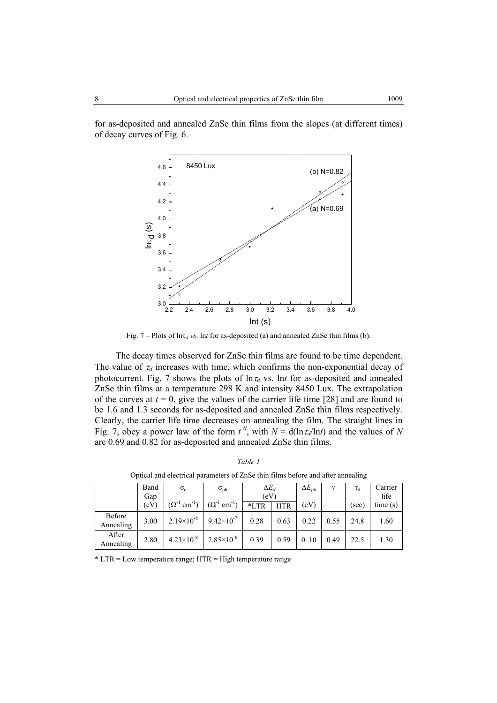for as-deposited and annealed ZnSe thin films from the slopes (at different times) of decay curves of Fig. 6.



Fig. 7 – Plots of  $\ln \tau_d$  *vs.* lnt for as-deposited (a) and annealed ZnSe thin films (b).

The decay times observed for ZnSe thin films are found to be time dependent. The value of  $\tau_d$  increases with time, which confirms the non-exponential decay of photocurrent. Fig. 7 shows the plots of  $\ln \tau_d$  vs. lnt for as-deposited and annealed ZnSe thin films at a temperature 298 K and intensity 8450 Lux. The extrapolation of the curves at  $t = 0$ , give the values of the carrier life time [28] and are found to be 1.6 and 1.3 seconds for as-deposited and annealed ZnSe thin films respectively. Clearly, the carrier life time decreases on annealing the film. The straight lines in Fig. 7, obey a power law of the form  $t^N$ , with  $N = d(\ln \tau_d / \ln t)$  and the values of N are 0.69 and 0.82 for as-deposited and annealed ZnSe thin films.

|                     | Band<br>Gap | $\sigma_d$                        | $\sigma_{\rm ph}$                 | $\Delta E_d$<br>(eV) |            | $\Delta E_{ph}$ | $\gamma$ | $\tau_d$ | Carrier<br>life |
|---------------------|-------------|-----------------------------------|-----------------------------------|----------------------|------------|-----------------|----------|----------|-----------------|
|                     | (eV)        | $(\Omega^{-1}$ cm <sup>-1</sup> ) | $(\Omega^{-1}$ cm <sup>-1</sup> ) | $*LTR$               | <b>HTR</b> | (eV)            |          | (sec)    | time(s)         |
| Before<br>Annealing | 3.00        | $2.19\times10^{-8}$               | $9.42\times10^{-7}$               | 0.28                 | 0.63       | 0.22            | 0.55     | 24.8     | 1.60            |
| After<br>Annealing  | 2.80        | $4.23\times10^{-8}$               | $2.85\times10^{-6}$               | 0.39                 | 0.59       | 0.10            | 0.49     | 22.5     | 1.30            |

*Table 1* Optical and electrical parameters of ZnSe thin films before and after annealing

 $*$  LTR = Low temperature range; HTR = High temperature range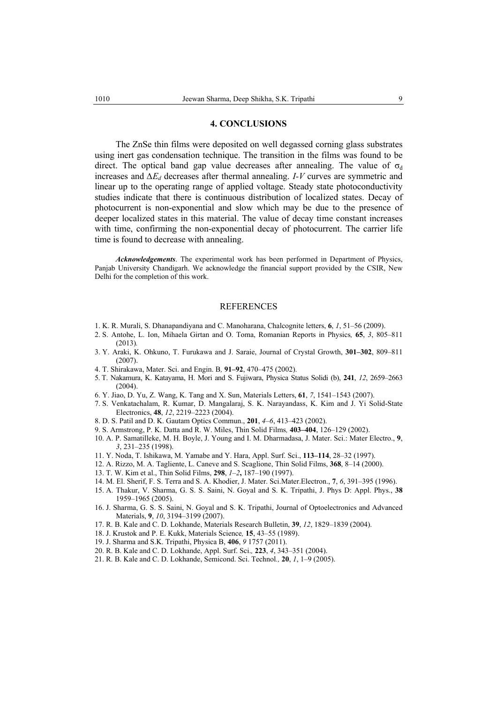#### **4. CONCLUSIONS**

The ZnSe thin films were deposited on well degassed corning glass substrates using inert gas condensation technique. The transition in the films was found to be direct. The optical band gap value decreases after annealing. The value of  $\sigma_d$ increases and *∆Ed* decreases after thermal annealing. *I-V* curves are symmetric and linear up to the operating range of applied voltage. Steady state photoconductivity studies indicate that there is continuous distribution of localized states. Decay of photocurrent is non-exponential and slow which may be due to the presence of deeper localized states in this material. The value of decay time constant increases with time, confirming the non-exponential decay of photocurrent. The carrier life time is found to decrease with annealing.

*Acknowledgements*. The experimental work has been performed in Department of Physics, Panjab University Chandigarh. We acknowledge the financial support provided by the CSIR, New Delhi for the completion of this work.

#### **REFERENCES**

- 1. K. R. Murali, S. Dhanapandiyana and C. Manoharana, Chalcognite letters, **6**, *1*, 51–56 (2009).
- 2. S. Antohe, L. Ion, Mihaela Girtan and O. Toma, Romanian Reports in Physics*,* **65**, *3*, 805–811 (2013)*.*
- 3. Y. Araki, K. Ohkuno, T. Furukawa and J. Saraie, Journal of Crystal Growth, **301–302**, 809–811 (2007).
- 4. T. Shirakawa, Mater. Sci. and Engin. B*,* **91–92**, 470–475 (2002).
- 5. T. Nakamura, K. Katayama, H. Mori and S. Fujiwara, Physica Status Solidi (b), **241**, *12*, 2659–2663  $(2004)$
- 6. Y. Jiao, D. Yu, Z. Wang, K. Tang and X. Sun, Materials Letters, **61**, *7*, 1541–1543 (2007).
- 7. S. Venkatachalam, R. Kumar, D. Mangalaraj, S. K. Narayandass, K. Kim and J. Yi Solid-State Electronics, **48**, *12*, 2219–2223 (2004).
- 8. D. S. Patil and D. K. Gautam Optics Commun., **201**, *4–6*, 413–423 (2002).
- 9. S. Armstrong, P. K. Datta and R. W. Miles, Thin Solid Films*,* **403–404**, 126–129 (2002).
- 10. A. P. Samatilleke, M. H. Boyle, J. Young and I. M. Dharmadasa, J. Mater. Sci.: Mater Electro., **9**, *3*, 231–235 (1998).
- 11. Y. Noda, T. Ishikawa, M. Yamabe and Y. Hara, Appl. Surf. Sci., **113–114**, 28–32 (1997).
- 12. A. Rizzo, M. A. Tagliente, L. Caneve and S. Scaglione, Thin Solid Films, **368**, 8–14 (2000).
- 13. T. W. Kim et al., Thin Solid Films, **298**, *1–2***,** 187–190 (1997).
- 14. M. El. Sherif, F. S. Terra and S. A. Khodier, J. Mater. Sci.Mater.Electron., **7**, *6*, 391–395 (1996).
- 15. A. Thakur, V. Sharma, G. S. S. Saini, N. Goyal and S. K. Tripathi, J. Phys D: Appl. Phys., **38** 1959–1965 (2005).
- 16. J. Sharma, G. S. S. Saini, N. Goyal and S. K. Tripathi, Journal of Optoelectronics and Advanced Materials, **9**, *10*, 3194–3199 (2007).
- 17. R. B. Kale and C. D. Lokhande, Materials Research Bulletin, **39**, *12*, 1829–1839 (2004).
- 18. J. Krustok and P. E. Kukk, Materials Science*,* **15**, 43–55 (1989).
- 19. J. Sharma and S.K. Tripathi, Physica B, **406**, *9* 1757 (2011).
- 20. R. B. Kale and C. D. Lokhande, Appl. Surf. Sci.*,* **223**, *4*, 343–351 (2004).
- 21. R. B. Kale and C. D. Lokhande, Semicond. Sci. Technol*.,* **20**, *1*, 1–9 (2005).